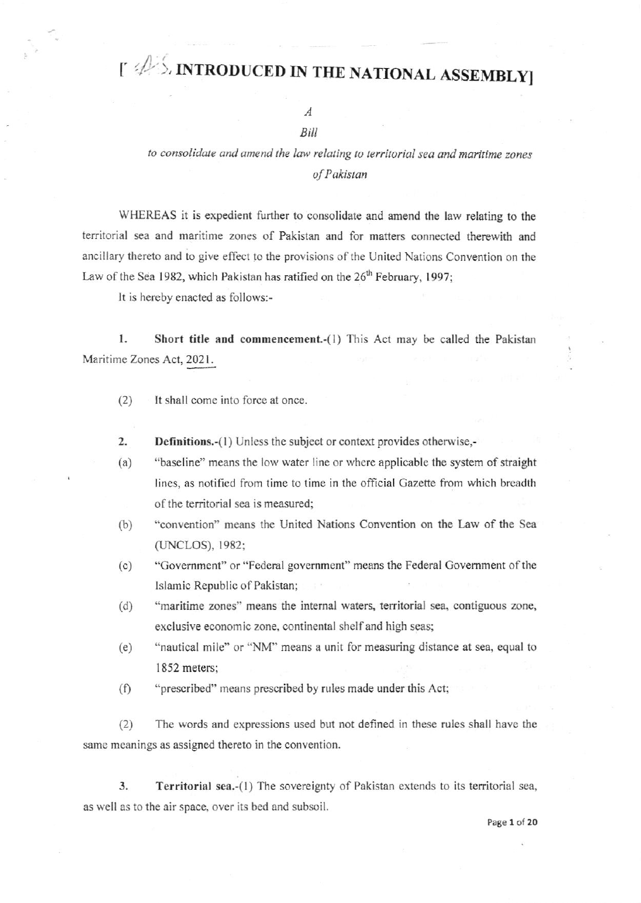## $\uparrow \mathcal{D}$  in troduced in the national assembly

## $\overline{A}$ Bill

## to consolidate and amend the law relating to territorial sea and maritime zones of Pakistan

WHEREAS it is expedient further to consolidate and amend the law relating to the territorial sea and maritime zones of Pakistan and for matters connected therewith and ancillary thereto and to give effect to the provisions of the United Nations Convention on the Law of the Sea 1982, which Pakistan has ratified on the 26<sup>th</sup> February, 1997;

It is hereby enacted as follows:-

1. Short title and commencement.-(1) This Act may be called the Pakistan Maritime Zones Act, 2021.

- It shall come into force at once.  $(2)$
- $\overline{2}$ . **Definitions.**-(1) Unless the subject or context provides otherwise,-
- "baseline" means the low water line or where applicable the system of straight  $(a)$ lines, as notified from time to time in the official Gazette from which breadth of the territorial sea is measured;
- $(b)$ "convention" means the United Nations Convention on the Law of the Sea (UNCLOS), 1982;
- $(c)$ "Government" or "Federal government" means the Federal Government of the Islamic Republic of Pakistan;
- "maritime zones" means the internal waters, territorial sea, contiguous zone,  $(d)$ exclusive economic zone, continental shelf and high seas;
- "nautical mile" or "NM" means a unit for measuring distance at sea, equal to  $(e)$ 1852 meters;
- $(f)$ "prescribed" means prescribed by rules made under this Act;

The words and expressions used but not defined in these rules shall have the  $(2)$ same meanings as assigned thereto in the convention.

 $3.$ Territorial sea.-(1) The sovereignty of Pakistan extends to its territorial sea, as well as to the air space, over its bed and subsoil.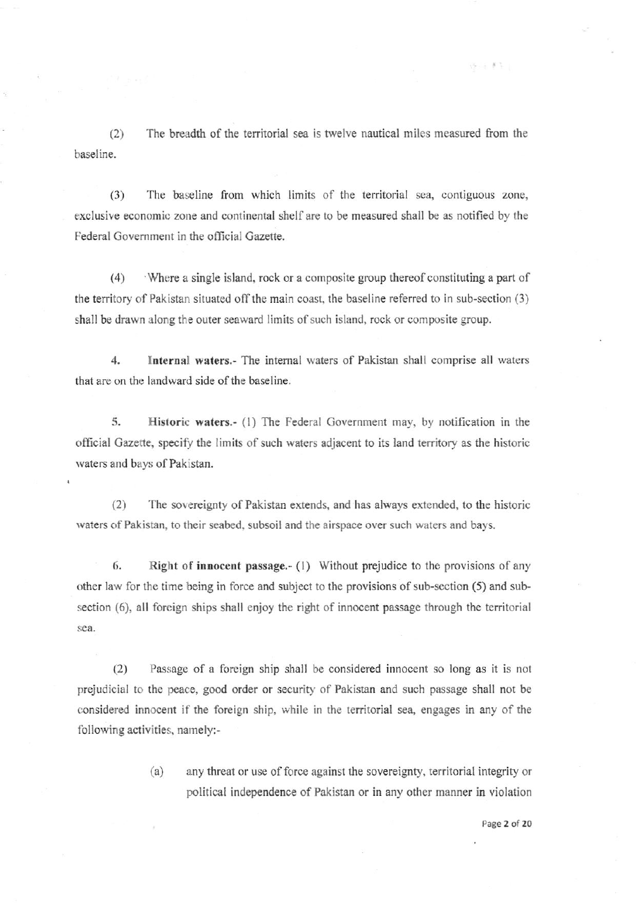$(2)$ The breadth of the territorial sea is twelve nautical miles measured from the baseline.

The baseline from which limits of the territorial sea, contiguous zone,  $(3)$ exclusive economic zone and continental shelf are to be measured shall be as notified by the Federal Government in the official Gazette.

 $(4)$ Where a single island, rock or a composite group thereof constituting a part of the territory of Pakistan situated off the main coast, the baseline referred to in sub-section (3) shall be drawn along the outer seaward limits of such island, rock or composite group.

 $\overline{4}$ . Internal waters.- The internal waters of Pakistan shall comprise all waters that are on the landward side of the baseline.

5. Historic waters.- (1) The Federal Government may, by notification in the official Gazette, specify the limits of such waters adjacent to its land territory as the historic waters and bays of Pakistan.

 $(2)$ The sovereignty of Pakistan extends, and has always extended, to the historic waters of Pakistan, to their seabed, subsoil and the airspace over such waters and bays.

6. Right of innocent passage.- (1) Without prejudice to the provisions of any other law for the time being in force and subject to the provisions of sub-section (5) and subsection (6), all foreign ships shall enjoy the right of innocent passage through the territorial  $sea$ 

 $(2)$ Passage of a foreign ship shall be considered innocent so long as it is not prejudicial to the peace, good order or security of Pakistan and such passage shall not be considered innocent if the foreign ship, while in the territorial sea, engages in any of the following activities, namely:-

> any threat or use of force against the sovereignty, territorial integrity or  $(a)$ political independence of Pakistan or in any other manner in violation

> > Page 2 of 20

 $15 - 87$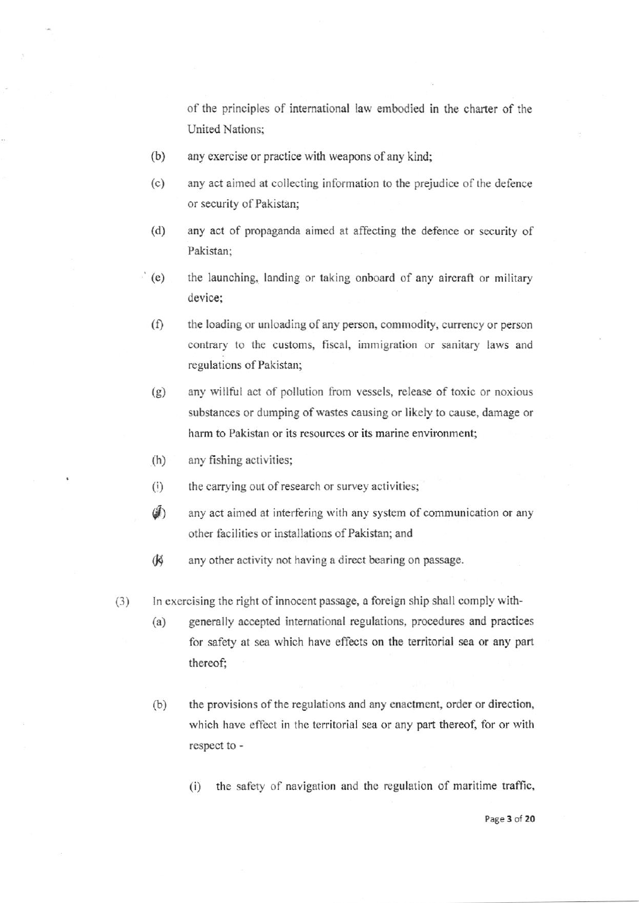of the principles of international law embodied in the charter of the **United Nations:** 

- $(b)$ any exercise or practice with weapons of any kind;
- $(c)$ any act aimed at collecting information to the prejudice of the defence or security of Pakistan;
- $(d)$ any act of propaganda aimed at affecting the defence or security of Pakistan:
- $(e)$ the launching, landing or taking onboard of any aircraft or military device:
	- $(f)$ the loading or unloading of any person, commodity, currency or person contrary to the customs, fiscal, immigration or sanitary laws and regulations of Pakistan;
	- $(g)$ any willful act of pollution from vessels, release of toxic or noxious substances or dumping of wastes causing or likely to cause, damage or harm to Pakistan or its resources or its marine environment;
	- $(h)$ any fishing activities;
	- the carrying out of research or survey activities;  $(i)$
	- $\mathcal{F}$ any act aimed at interfering with any system of communication or any other facilities or installations of Pakistan; and
	- **K** any other activity not having a direct bearing on passage.
- $(3)$ In exercising the right of innocent passage, a foreign ship shall comply with-
	- $(a)$ generally accepted international regulations, procedures and practices for safety at sea which have effects on the territorial sea or any part thereof:
	- $(b)$ the provisions of the regulations and any enactment, order or direction, which have effect in the territorial sea or any part thereof, for or with respect to
		- the safety of navigation and the regulation of maritime traffic,  $(i)$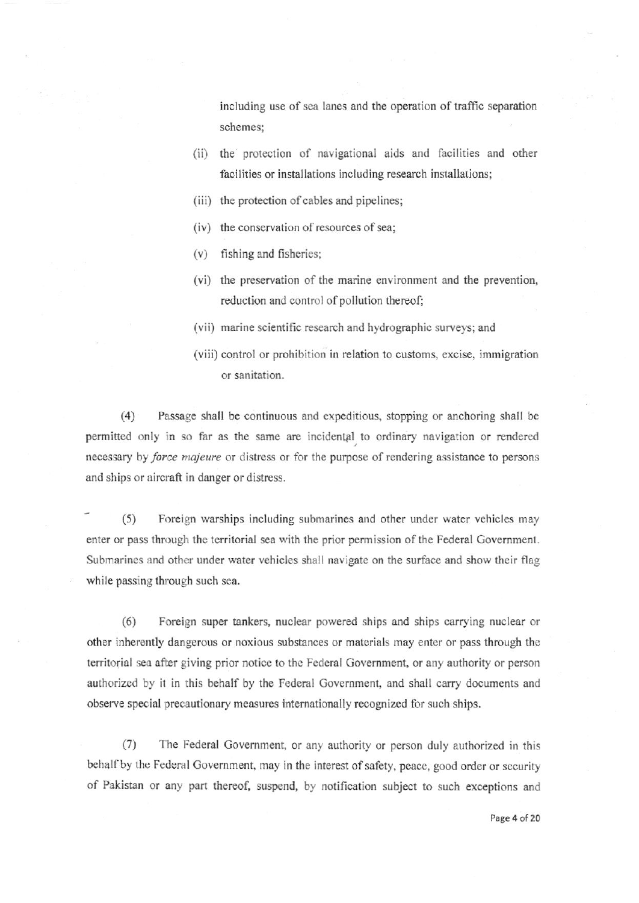including use of sea lanes and the operation of traffic separation schemes;

- (ii) the protection of navigatiooal aids and facilities and other facilities or installations including research installations;
- (iii) the protection of cables and pipelines;
- (iv) the conservation of resources of sea;
- $(v)$  fishing and fisheries;
- (vi) the preservation of the marine environment and the prevention, reduction and control of pollution thereof;
- (vii) marine scientific research and hydrographic surveys; and
- (viii) control or prohibition in relation to customs, excise, immigration or sanitation.

(4) Passage shall be continuous and expeditious, stopping or anchoring shall be permitted only in so far as the same are incidental to ordinary navigation or rendered iecessary by *force majeure* or distress or for the purpose of rendering assistance to persons and ships or aircraft in danger or distress.

- (5) Foreign warships including submarines end other under water vehicles may enter or pass through the territorial sea with the prior permission of the Federal Government. Submarines and other under water vehicles shall navigate on the surface and show their flag while passing through such sea.

(6) Foreign super tankers, nuclear powered ships and ships carrying nuclear or other inherently dangerous or noxious substances or materials may enter or pass lhrough the territorial sea after giving prior notice to the Federal Government, or any authority or person authorized by it in this behalf by the Federal Government, and shall carry documents and observe special precautionary measurcs intemationally recognized for such ships.

(7) The Federal Govemment, or any authority or person duly authorized in this behalf by the Federal Government, may in the interest of safety, peace, good order or security of Pakistan or any part thereof, suspend, by notification subject to such exceptions and